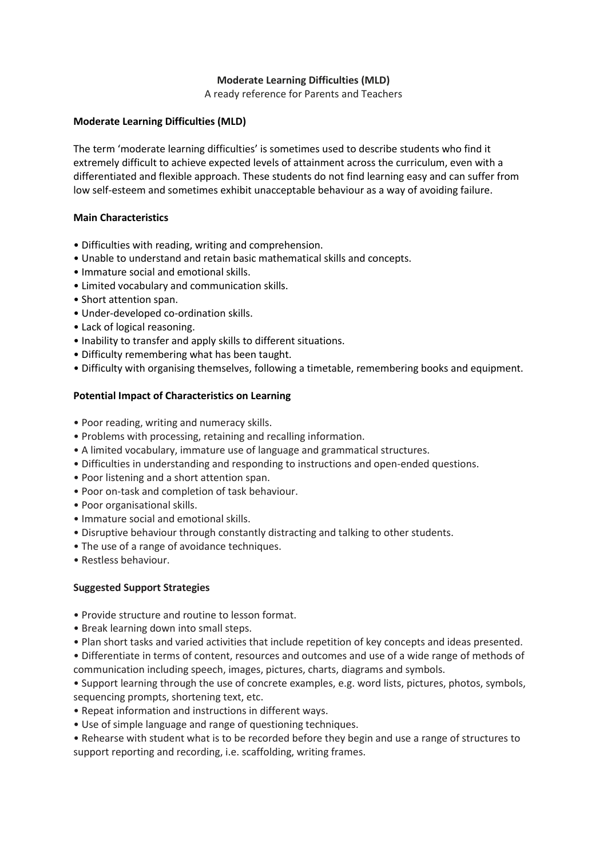# **Moderate Learning Difficulties (MLD)**

A ready reference for Parents and Teachers

#### **Moderate Learning Difficulties (MLD)**

The term 'moderate learning difficulties' is sometimes used to describe students who find it extremely difficult to achieve expected levels of attainment across the curriculum, even with a differentiated and flexible approach. These students do not find learning easy and can suffer from low self-esteem and sometimes exhibit unacceptable behaviour as a way of avoiding failure.

# **Main Characteristics**

- Difficulties with reading, writing and comprehension.
- Unable to understand and retain basic mathematical skills and concepts.
- Immature social and emotional skills.
- Limited vocabulary and communication skills.
- Short attention span.
- Under-developed co-ordination skills.
- Lack of logical reasoning.
- Inability to transfer and apply skills to different situations.
- Difficulty remembering what has been taught.
- Difficulty with organising themselves, following a timetable, remembering books and equipment.

# **Potential Impact of Characteristics on Learning**

- Poor reading, writing and numeracy skills.
- Problems with processing, retaining and recalling information.
- A limited vocabulary, immature use of language and grammatical structures.
- Difficulties in understanding and responding to instructions and open-ended questions.
- Poor listening and a short attention span.
- Poor on-task and completion of task behaviour.
- Poor organisational skills.
- Immature social and emotional skills.
- Disruptive behaviour through constantly distracting and talking to other students.
- The use of a range of avoidance techniques.
- Restless behaviour.

#### **Suggested Support Strategies**

- Provide structure and routine to lesson format.
- Break learning down into small steps.
- Plan short tasks and varied activities that include repetition of key concepts and ideas presented.
- Differentiate in terms of content, resources and outcomes and use of a wide range of methods of communication including speech, images, pictures, charts, diagrams and symbols.

• Support learning through the use of concrete examples, e.g. word lists, pictures, photos, symbols, sequencing prompts, shortening text, etc.

- Repeat information and instructions in different ways.
- Use of simple language and range of questioning techniques.

• Rehearse with student what is to be recorded before they begin and use a range of structures to support reporting and recording, i.e. scaffolding, writing frames.